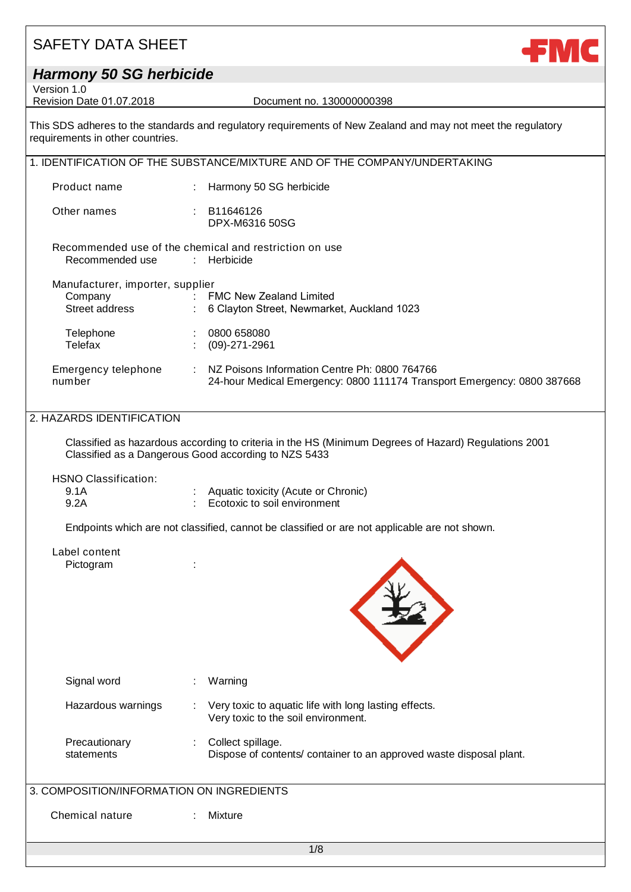### *Harmony 50 SG herbicide*

Version 1.0<br>Revision Date 01.07.2018

Document no. 130000000398

**FMC** 

This SDS adheres to the standards and regulatory requirements of New Zealand and may not meet the regulatory requirements in other countries.

|                                                                                                                                                              |   | 1. IDENTIFICATION OF THE SUBSTANCE/MIXTURE AND OF THE COMPANY/UNDERTAKING                                                |  |
|--------------------------------------------------------------------------------------------------------------------------------------------------------------|---|--------------------------------------------------------------------------------------------------------------------------|--|
| Product name                                                                                                                                                 |   | : Harmony 50 SG herbicide                                                                                                |  |
| Other names                                                                                                                                                  |   | : B11646126<br>DPX-M6316 50SG                                                                                            |  |
| Recommended use of the chemical and restriction on use<br>Recommended use<br>: Herbicide                                                                     |   |                                                                                                                          |  |
| Manufacturer, importer, supplier                                                                                                                             |   |                                                                                                                          |  |
| Company                                                                                                                                                      |   | : FMC New Zealand Limited                                                                                                |  |
| Street address by the Street                                                                                                                                 |   | : 6 Clayton Street, Newmarket, Auckland 1023                                                                             |  |
| Telephone                                                                                                                                                    |   | : 0800658080                                                                                                             |  |
| Telefax                                                                                                                                                      |   | $(09)-271-2961$                                                                                                          |  |
| Emergency telephone<br>number                                                                                                                                | ÷ | NZ Poisons Information Centre Ph: 0800 764766<br>24-hour Medical Emergency: 0800 111174 Transport Emergency: 0800 387668 |  |
| 2. HAZARDS IDENTIFICATION                                                                                                                                    |   |                                                                                                                          |  |
| Classified as hazardous according to criteria in the HS (Minimum Degrees of Hazard) Regulations 2001<br>Classified as a Dangerous Good according to NZS 5433 |   |                                                                                                                          |  |

HSNO Classification:

| 9.1A | : Aquatic toxicity (Acute or Chronic)     |
|------|-------------------------------------------|
| 9.2A | $\therefore$ Ecotoxic to soil environment |

Endpoints which are not classified, cannot be classified or are not applicable are not shown.

#### Label content Pictogram :



| Signal word                 | Warning                                                                                      |
|-----------------------------|----------------------------------------------------------------------------------------------|
| Hazardous warnings          | Very toxic to aquatic life with long lasting effects.<br>Very toxic to the soil environment. |
| Precautionary<br>statements | Collect spillage.<br>Dispose of contents/ container to an approved waste disposal plant.     |

### 3. COMPOSITION/INFORMATION ON INGREDIENTS

Chemical nature : Mixture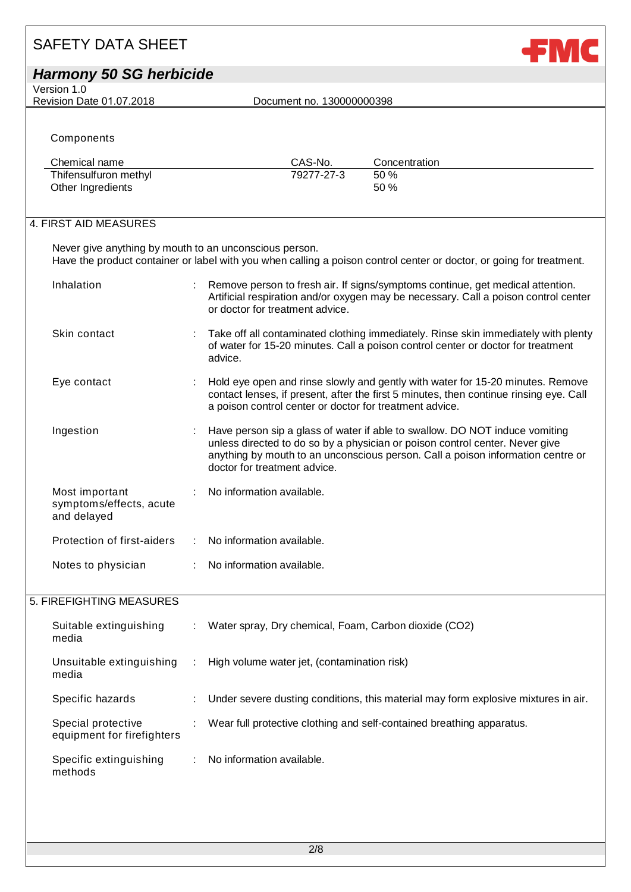# SAFETY DATA SHEET *Harmony 50 SG herbicide*

Version 1.0<br>Revision Date 01.07.2018

Document no. 130000000398

**FMC** 

**Components** 

| Chemical name         | CAS-No.    | Concentration |
|-----------------------|------------|---------------|
| Thifensulfuron methyl | 79277-27-3 | 50 %          |
| Other Ingredients     |            | 50%           |

#### 4. FIRST AID MEASURES

Never give anything by mouth to an unconscious person. Have the product container or label with you when calling a poison control center or doctor, or going for treatment.

| Inhalation                                               | Remove person to fresh air. If signs/symptoms continue, get medical attention.<br>Artificial respiration and/or oxygen may be necessary. Call a poison control center<br>or doctor for treatment advice.                                                                       |
|----------------------------------------------------------|--------------------------------------------------------------------------------------------------------------------------------------------------------------------------------------------------------------------------------------------------------------------------------|
| Skin contact                                             | Take off all contaminated clothing immediately. Rinse skin immediately with plenty<br>of water for 15-20 minutes. Call a poison control center or doctor for treatment<br>advice.                                                                                              |
| Eye contact                                              | Hold eye open and rinse slowly and gently with water for 15-20 minutes. Remove<br>contact lenses, if present, after the first 5 minutes, then continue rinsing eye. Call<br>a poison control center or doctor for treatment advice.                                            |
| Ingestion                                                | Have person sip a glass of water if able to swallow. DO NOT induce vomiting<br>unless directed to do so by a physician or poison control center. Never give<br>anything by mouth to an unconscious person. Call a poison information centre or<br>doctor for treatment advice. |
| Most important<br>symptoms/effects, acute<br>and delayed | : No information available.                                                                                                                                                                                                                                                    |
| Protection of first-aiders                               | No information available.                                                                                                                                                                                                                                                      |
| Notes to physician                                       | No information available.                                                                                                                                                                                                                                                      |

### 5. FIREFIGHTING MEASURES

| Suitable extinguishing<br>media                  | ÷ | Water spray, Dry chemical, Foam, Carbon dioxide (CO2)                              |
|--------------------------------------------------|---|------------------------------------------------------------------------------------|
| Unsuitable extinguishing<br>media                |   | High volume water jet, (contamination risk)                                        |
| Specific hazards                                 |   | Under severe dusting conditions, this material may form explosive mixtures in air. |
| Special protective<br>equipment for firefighters |   | Wear full protective clothing and self-contained breathing apparatus.              |
| Specific extinguishing<br>methods                |   | No information available.                                                          |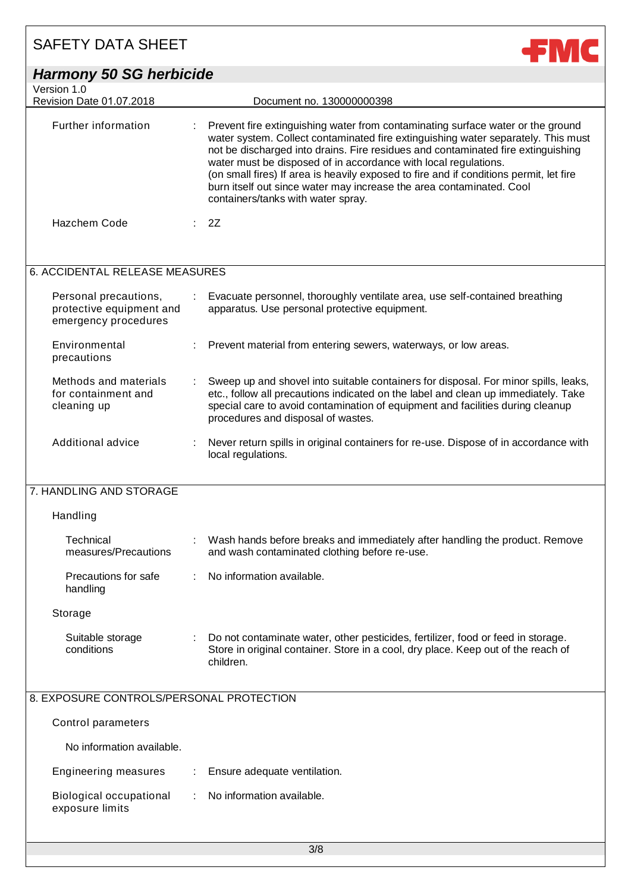| <b>SAFETY DATA SHEET</b>                                                  |                                                                                                                                                                                                                                                                                                                                                                                                                                                                                                                                     |
|---------------------------------------------------------------------------|-------------------------------------------------------------------------------------------------------------------------------------------------------------------------------------------------------------------------------------------------------------------------------------------------------------------------------------------------------------------------------------------------------------------------------------------------------------------------------------------------------------------------------------|
| <b>Harmony 50 SG herbicide</b>                                            |                                                                                                                                                                                                                                                                                                                                                                                                                                                                                                                                     |
| Version 1.0<br>Revision Date 01.07.2018                                   | Document no. 130000000398                                                                                                                                                                                                                                                                                                                                                                                                                                                                                                           |
| Further information                                                       | Prevent fire extinguishing water from contaminating surface water or the ground<br>water system. Collect contaminated fire extinguishing water separately. This must<br>not be discharged into drains. Fire residues and contaminated fire extinguishing<br>water must be disposed of in accordance with local regulations.<br>(on small fires) If area is heavily exposed to fire and if conditions permit, let fire<br>burn itself out since water may increase the area contaminated. Cool<br>containers/tanks with water spray. |
| Hazchem Code                                                              | 2Z                                                                                                                                                                                                                                                                                                                                                                                                                                                                                                                                  |
| 6. ACCIDENTAL RELEASE MEASURES                                            |                                                                                                                                                                                                                                                                                                                                                                                                                                                                                                                                     |
| Personal precautions,<br>protective equipment and<br>emergency procedures | Evacuate personnel, thoroughly ventilate area, use self-contained breathing<br>apparatus. Use personal protective equipment.                                                                                                                                                                                                                                                                                                                                                                                                        |
| Environmental<br>precautions                                              | Prevent material from entering sewers, waterways, or low areas.                                                                                                                                                                                                                                                                                                                                                                                                                                                                     |
| Methods and materials<br>for containment and<br>cleaning up               | Sweep up and shovel into suitable containers for disposal. For minor spills, leaks,<br>etc., follow all precautions indicated on the label and clean up immediately. Take<br>special care to avoid contamination of equipment and facilities during cleanup<br>procedures and disposal of wastes.                                                                                                                                                                                                                                   |
| Additional advice                                                         | Never return spills in original containers for re-use. Dispose of in accordance with<br>local regulations.                                                                                                                                                                                                                                                                                                                                                                                                                          |
| 7. HANDLING AND STORAGE                                                   |                                                                                                                                                                                                                                                                                                                                                                                                                                                                                                                                     |
| Handling                                                                  |                                                                                                                                                                                                                                                                                                                                                                                                                                                                                                                                     |
| Technical<br>measures/Precautions                                         | Wash hands before breaks and immediately after handling the product. Remove<br>and wash contaminated clothing before re-use.                                                                                                                                                                                                                                                                                                                                                                                                        |
| Precautions for safe<br>handling                                          | No information available.                                                                                                                                                                                                                                                                                                                                                                                                                                                                                                           |
| Storage                                                                   |                                                                                                                                                                                                                                                                                                                                                                                                                                                                                                                                     |
| Suitable storage<br>conditions                                            | Do not contaminate water, other pesticides, fertilizer, food or feed in storage.<br>Store in original container. Store in a cool, dry place. Keep out of the reach of<br>children.                                                                                                                                                                                                                                                                                                                                                  |
| 8. EXPOSURE CONTROLS/PERSONAL PROTECTION                                  |                                                                                                                                                                                                                                                                                                                                                                                                                                                                                                                                     |
| Control parameters                                                        |                                                                                                                                                                                                                                                                                                                                                                                                                                                                                                                                     |
| No information available.                                                 |                                                                                                                                                                                                                                                                                                                                                                                                                                                                                                                                     |
| <b>Engineering measures</b>                                               | Ensure adequate ventilation.                                                                                                                                                                                                                                                                                                                                                                                                                                                                                                        |
| <b>Biological occupational</b><br>exposure limits                         | No information available.                                                                                                                                                                                                                                                                                                                                                                                                                                                                                                           |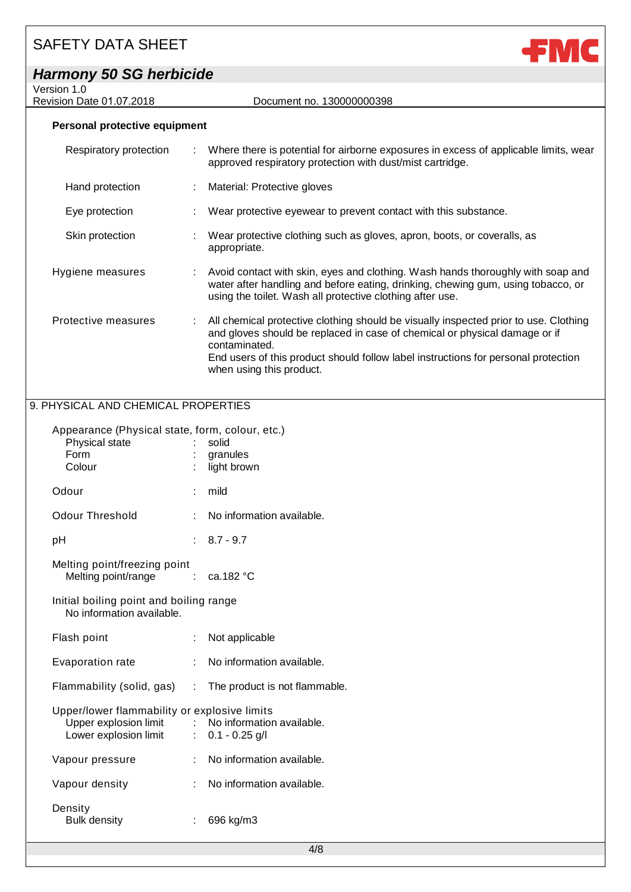| <b>Harmony 50 SG herbicide</b> |  |  |
|--------------------------------|--|--|
|--------------------------------|--|--|

Version 1.0

Revision Date 01.07.2018 Document no. 130000000398



#### **Personal protective equipment**

| Respiratory protection | ÷ | Where there is potential for airborne exposures in excess of applicable limits, wear<br>approved respiratory protection with dust/mist cartridge.                                                                                                                                                     |
|------------------------|---|-------------------------------------------------------------------------------------------------------------------------------------------------------------------------------------------------------------------------------------------------------------------------------------------------------|
| Hand protection        |   | : Material: Protective gloves                                                                                                                                                                                                                                                                         |
| Eye protection         |   | Wear protective eyewear to prevent contact with this substance.                                                                                                                                                                                                                                       |
| Skin protection        |   | Wear protective clothing such as gloves, apron, boots, or coveralls, as<br>appropriate.                                                                                                                                                                                                               |
| Hygiene measures       |   | : Avoid contact with skin, eyes and clothing. Wash hands thoroughly with soap and<br>water after handling and before eating, drinking, chewing gum, using tobacco, or<br>using the toilet. Wash all protective clothing after use.                                                                    |
| Protective measures    | ÷ | All chemical protective clothing should be visually inspected prior to use. Clothing<br>and gloves should be replaced in case of chemical or physical damage or if<br>contaminated.<br>End users of this product should follow label instructions for personal protection<br>when using this product. |

### 9. PHYSICAL AND CHEMICAL PROPERTIES

| Appearance (Physical state, form, colour, etc.)<br>Physical state<br>Form<br>Colour            | ÷                         | solid<br>granules<br>light brown                          |
|------------------------------------------------------------------------------------------------|---------------------------|-----------------------------------------------------------|
| Odour                                                                                          | ÷                         | mild                                                      |
| Odour Threshold                                                                                | $\mathbb{R}^{\mathbb{Z}}$ | No information available.                                 |
| рH                                                                                             |                           | $: 8.7 - 9.7$                                             |
| Melting point/freezing point<br>Melting point/range                                            |                           | $\therefore$ ca.182 °C                                    |
| Initial boiling point and boiling range<br>No information available.                           |                           |                                                           |
| Flash point                                                                                    | ÷                         | Not applicable                                            |
| <b>Evaporation rate</b>                                                                        | $\mathbb{R}^{\mathbb{Z}}$ | No information available.                                 |
|                                                                                                |                           | Flammability (solid, gas) : The product is not flammable. |
| Upper/lower flammability or explosive limits<br>Upper explosion limit<br>Lower explosion limit |                           | : No information available.<br>$: 0.1 - 0.25$ g/l         |
| Vapour pressure                                                                                | ÷                         | No information available.                                 |
| Vapour density                                                                                 | t.                        | No information available.                                 |
| Density<br><b>Bulk density</b>                                                                 | t                         | 696 kg/m3                                                 |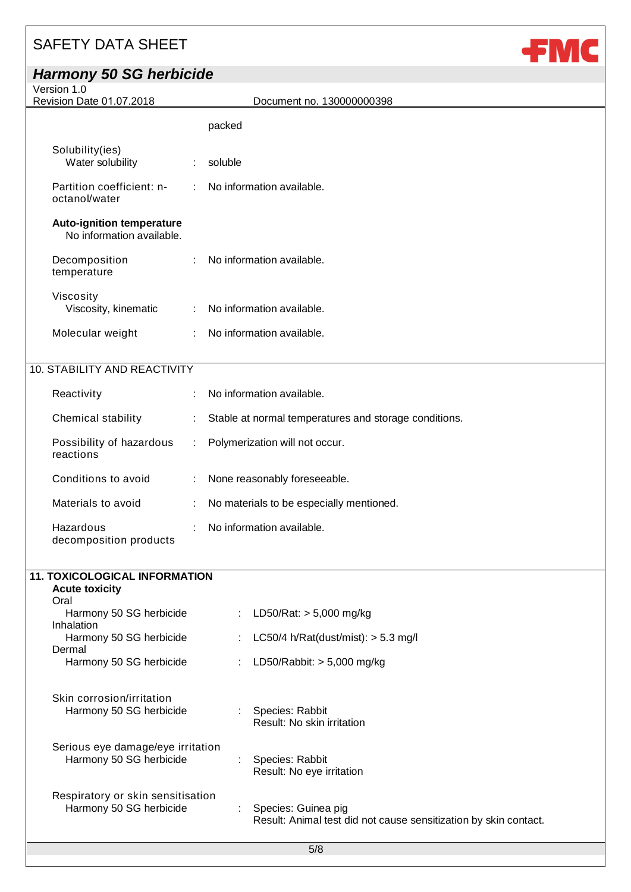decomposition products

## *Harmony 50 SG herbicide*

Version 1.0

Revision Date 01.07.2018 Document no. 130000000398

**FMC** 

|                                                               |                             | packed                                                |
|---------------------------------------------------------------|-----------------------------|-------------------------------------------------------|
|                                                               |                             |                                                       |
| Solubility(ies)<br>Water solubility                           | ÷                           | soluble                                               |
| Partition coefficient: n-<br>octanol/water                    | $\mathcal{L}^{\mathcal{L}}$ | No information available.                             |
| <b>Auto-ignition temperature</b><br>No information available. |                             |                                                       |
| Decomposition<br>temperature                                  |                             | No information available.                             |
| Viscosity<br>Viscosity, kinematic                             | ÷                           | No information available.                             |
| Molecular weight                                              | $\mathbb{R}^{\mathbb{Z}}$   | No information available.                             |
| 10. STABILITY AND REACTIVITY                                  |                             |                                                       |
|                                                               |                             |                                                       |
| Reactivity                                                    | ÷                           | No information available.                             |
| Chemical stability                                            | ÷.                          | Stable at normal temperatures and storage conditions. |
| Possibility of hazardous<br>reactions                         | ÷                           | Polymerization will not occur.                        |
| Conditions to avoid                                           | ÷                           | None reasonably foreseeable.                          |

| Materials to avoid | : No materials to be especially mentioned. |
|--------------------|--------------------------------------------|
| Hazardous          | : No information available.                |

| ÷ | LD50/Rat: $>$ 5,000 mg/kg                                        |
|---|------------------------------------------------------------------|
|   | LC50/4 h/Rat(dust/mist): $>$ 5.3 mg/l                            |
|   |                                                                  |
|   | LD50/Rabbit: $> 5,000$ mg/kg                                     |
|   |                                                                  |
|   |                                                                  |
|   | : Species: Rabbit                                                |
|   | Result: No skin irritation                                       |
|   |                                                                  |
|   | Species: Rabbit                                                  |
|   | Result: No eye irritation                                        |
|   |                                                                  |
|   |                                                                  |
|   | Species: Guinea pig                                              |
|   | Result: Animal test did not cause sensitization by skin contact. |
|   |                                                                  |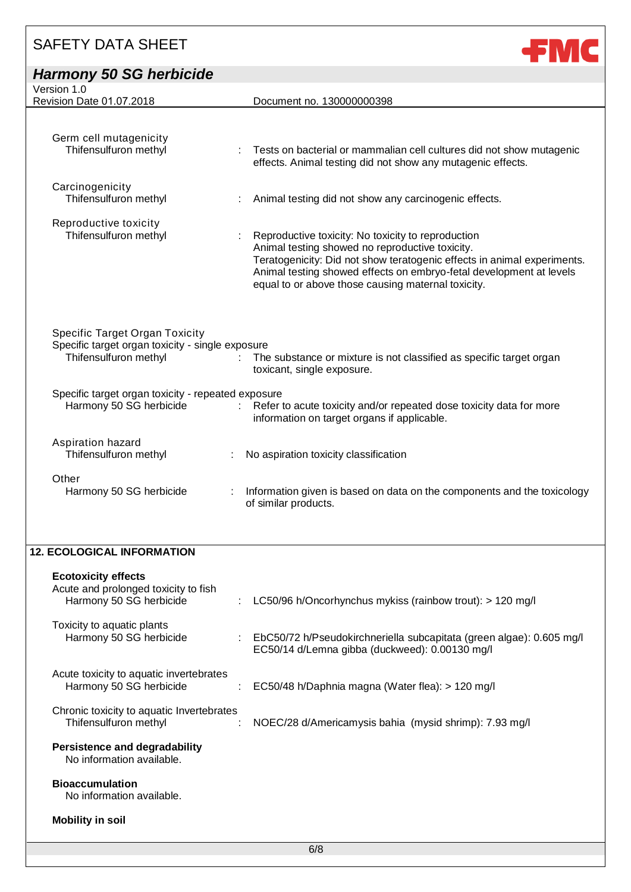|                                                    | Document no. 130000000398                                                                                                                      |
|----------------------------------------------------|------------------------------------------------------------------------------------------------------------------------------------------------|
|                                                    |                                                                                                                                                |
|                                                    |                                                                                                                                                |
|                                                    | Tests on bacterial or mammalian cell cultures did not show mutagenic<br>effects. Animal testing did not show any mutagenic effects.            |
|                                                    |                                                                                                                                                |
|                                                    | Animal testing did not show any carcinogenic effects.                                                                                          |
|                                                    |                                                                                                                                                |
|                                                    | Reproductive toxicity: No toxicity to reproduction                                                                                             |
|                                                    | Animal testing showed no reproductive toxicity.                                                                                                |
|                                                    | Teratogenicity: Did not show teratogenic effects in animal experiments.<br>Animal testing showed effects on embryo-fetal development at levels |
|                                                    | equal to or above those causing maternal toxicity.                                                                                             |
|                                                    |                                                                                                                                                |
|                                                    |                                                                                                                                                |
| Specific target organ toxicity - single exposure   |                                                                                                                                                |
|                                                    | The substance or mixture is not classified as specific target organ                                                                            |
|                                                    | toxicant, single exposure.                                                                                                                     |
| Specific target organ toxicity - repeated exposure |                                                                                                                                                |
|                                                    | Refer to acute toxicity and/or repeated dose toxicity data for more                                                                            |
|                                                    | information on target organs if applicable.                                                                                                    |
|                                                    |                                                                                                                                                |
|                                                    | No aspiration toxicity classification                                                                                                          |
|                                                    |                                                                                                                                                |
|                                                    | Information given is based on data on the components and the toxicology                                                                        |
|                                                    | of similar products.                                                                                                                           |
|                                                    |                                                                                                                                                |

**JEMC** 

### **12. ECOLOGICAL INFORMATION**

| <b>Ecotoxicity effects</b><br>Acute and prolonged toxicity to fish<br>Harmony 50 SG herbicide | LC50/96 h/Oncorhynchus mykiss (rainbow trout): $> 120$ mg/l<br>÷.                                                            |
|-----------------------------------------------------------------------------------------------|------------------------------------------------------------------------------------------------------------------------------|
| Toxicity to aquatic plants<br>Harmony 50 SG herbicide                                         | EbC50/72 h/Pseudokirchneriella subcapitata (green algae): 0.605 mg/l<br>t.<br>EC50/14 d/Lemna gibba (duckweed): 0.00130 mg/l |
| Acute toxicity to aquatic invertebrates<br>Harmony 50 SG herbicide                            | EC50/48 h/Daphnia magna (Water flea): > 120 mg/l                                                                             |
| Chronic toxicity to aquatic Invertebrates<br>Thifensulfuron methyl                            | NOEC/28 d/Americamysis bahia (mysid shrimp): 7.93 mg/l                                                                       |
| <b>Persistence and degradability</b><br>No information available.                             |                                                                                                                              |
| <b>Bioaccumulation</b><br>No information available.                                           |                                                                                                                              |
| <b>Mobility in soil</b>                                                                       |                                                                                                                              |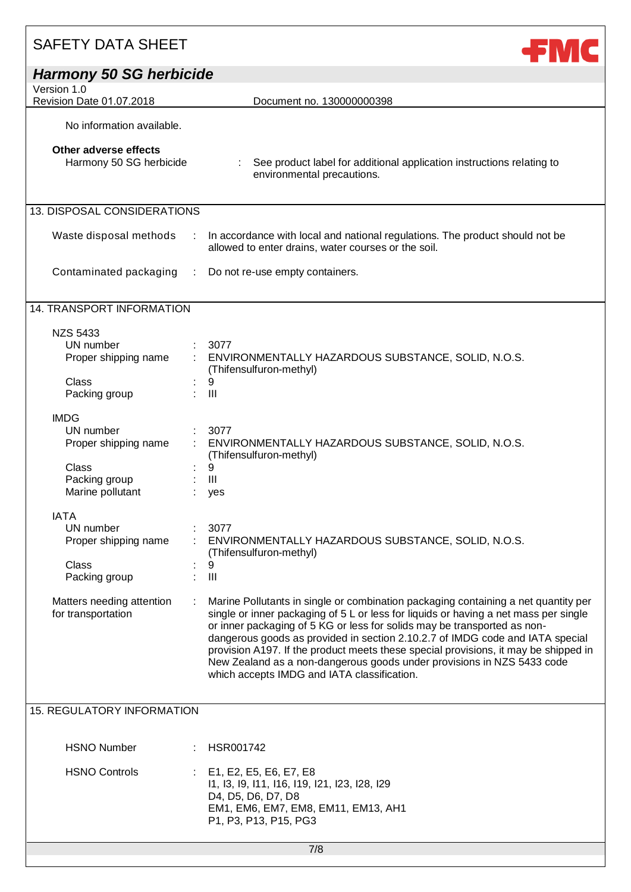| <b>Harmony 50 SG herbicide</b><br>Version 1.0                                                         |                                                                                                                                                                                                                                                                                                                                                                                                                                                                                                                                                         |
|-------------------------------------------------------------------------------------------------------|---------------------------------------------------------------------------------------------------------------------------------------------------------------------------------------------------------------------------------------------------------------------------------------------------------------------------------------------------------------------------------------------------------------------------------------------------------------------------------------------------------------------------------------------------------|
| Revision Date 01.07.2018                                                                              | Document no. 130000000398                                                                                                                                                                                                                                                                                                                                                                                                                                                                                                                               |
| No information available.                                                                             |                                                                                                                                                                                                                                                                                                                                                                                                                                                                                                                                                         |
| Other adverse effects<br>Harmony 50 SG herbicide                                                      | See product label for additional application instructions relating to<br>environmental precautions.                                                                                                                                                                                                                                                                                                                                                                                                                                                     |
| 13. DISPOSAL CONSIDERATIONS                                                                           |                                                                                                                                                                                                                                                                                                                                                                                                                                                                                                                                                         |
| Waste disposal methods<br>$\mathcal{L}_{\mathcal{A}}$                                                 | In accordance with local and national regulations. The product should not be<br>allowed to enter drains, water courses or the soil.                                                                                                                                                                                                                                                                                                                                                                                                                     |
| Contaminated packaging<br>÷                                                                           | Do not re-use empty containers.                                                                                                                                                                                                                                                                                                                                                                                                                                                                                                                         |
| 14. TRANSPORT INFORMATION                                                                             |                                                                                                                                                                                                                                                                                                                                                                                                                                                                                                                                                         |
| <b>NZS 5433</b><br>UN number<br>Proper shipping name<br><b>Class</b><br>Packing group                 | 3077<br>ENVIRONMENTALLY HAZARDOUS SUBSTANCE, SOLID, N.O.S.<br>(Thifensulfuron-methyl)<br>9<br>III                                                                                                                                                                                                                                                                                                                                                                                                                                                       |
| <b>IMDG</b><br>UN number<br>Proper shipping name<br><b>Class</b><br>Packing group<br>Marine pollutant | 3077<br>ENVIRONMENTALLY HAZARDOUS SUBSTANCE, SOLID, N.O.S.<br>(Thifensulfuron-methyl)<br>9<br>III<br>yes                                                                                                                                                                                                                                                                                                                                                                                                                                                |
| <b>IATA</b><br>UN number<br>Proper shipping name<br>Class<br>Packing group                            | 3077<br>ENVIRONMENTALLY HAZARDOUS SUBSTANCE, SOLID, N.O.S.<br>(Thifensulfuron-methyl)<br>9<br>$\mathop{\mathrm{III}}\nolimits$                                                                                                                                                                                                                                                                                                                                                                                                                          |
| Matters needing attention<br>for transportation                                                       | Marine Pollutants in single or combination packaging containing a net quantity per<br>single or inner packaging of 5 L or less for liquids or having a net mass per single<br>or inner packaging of 5 KG or less for solids may be transported as non-<br>dangerous goods as provided in section 2.10.2.7 of IMDG code and IATA special<br>provision A197. If the product meets these special provisions, it may be shipped in<br>New Zealand as a non-dangerous goods under provisions in NZS 5433 code<br>which accepts IMDG and IATA classification. |
| <b>15. REGULATORY INFORMATION</b>                                                                     |                                                                                                                                                                                                                                                                                                                                                                                                                                                                                                                                                         |
| <b>HSNO Number</b>                                                                                    | HSR001742                                                                                                                                                                                                                                                                                                                                                                                                                                                                                                                                               |
| <b>HSNO Controls</b>                                                                                  | E1, E2, E5, E6, E7, E8<br>11, 13, 19, 111, 116, 119, 121, 123, 128, 129<br>D4, D5, D6, D7, D8<br>EM1, EM6, EM7, EM8, EM11, EM13, AH1<br>P1, P3, P13, P15, PG3                                                                                                                                                                                                                                                                                                                                                                                           |
|                                                                                                       | 7/8                                                                                                                                                                                                                                                                                                                                                                                                                                                                                                                                                     |

**JSMC**